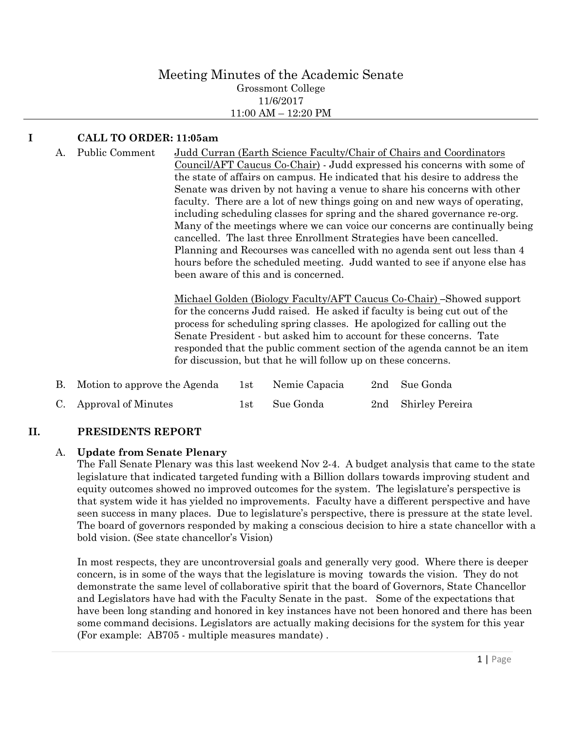#### Meeting Minutes of the Academic Senate Grossmont College 11/6/2017 11:00 AM – 12:20 PM

# **I CALL TO ORDER: 11:05am**

A. Public Comment Judd Curran (Earth Science Faculty/Chair of Chairs and Coordinators Council/AFT Caucus Co-Chair) - Judd expressed his concerns with some of the state of affairs on campus. He indicated that his desire to address the Senate was driven by not having a venue to share his concerns with other faculty. There are a lot of new things going on and new ways of operating, including scheduling classes for spring and the shared governance re-org. Many of the meetings where we can voice our concerns are continually being cancelled. The last three Enrollment Strategies have been cancelled. Planning and Recourses was cancelled with no agenda sent out less than 4 hours before the scheduled meeting. Judd wanted to see if anyone else has been aware of this and is concerned.

> Michael Golden (Biology Faculty/AFT Caucus Co-Chair) **–**Showed support for the concerns Judd raised. He asked if faculty is being cut out of the process for scheduling spring classes. He apologized for calling out the Senate President - but asked him to account for these concerns. Tate responded that the public comment section of the agenda cannot be an item for discussion, but that he will follow up on these concerns.

| В. | Motion to approve the Agenda | 1st | Nemie Capacia | 2nd Sue Gonda       |
|----|------------------------------|-----|---------------|---------------------|
|    | C. Approval of Minutes       |     | 1st Sue Gonda | 2nd Shirley Pereira |

## **II. PRESIDENTS REPORT**

## A. **Update from Senate Plenary**

The Fall Senate Plenary was this last weekend Nov 2-4. A budget analysis that came to the state legislature that indicated targeted funding with a Billion dollars towards improving student and equity outcomes showed no improved outcomes for the system. The legislature's perspective is that system wide it has yielded no improvements. Faculty have a different perspective and have seen success in many places. Due to legislature's perspective, there is pressure at the state level. The board of governors responded by making a conscious decision to hire a state chancellor with a bold vision. (See state chancellor's Vision)

In most respects, they are uncontroversial goals and generally very good. Where there is deeper concern, is in some of the ways that the legislature is moving towards the vision. They do not demonstrate the same level of collaborative spirit that the board of Governors, State Chancellor and Legislators have had with the Faculty Senate in the past. Some of the expectations that have been long standing and honored in key instances have not been honored and there has been some command decisions. Legislators are actually making decisions for the system for this year (For example: AB705 - multiple measures mandate) .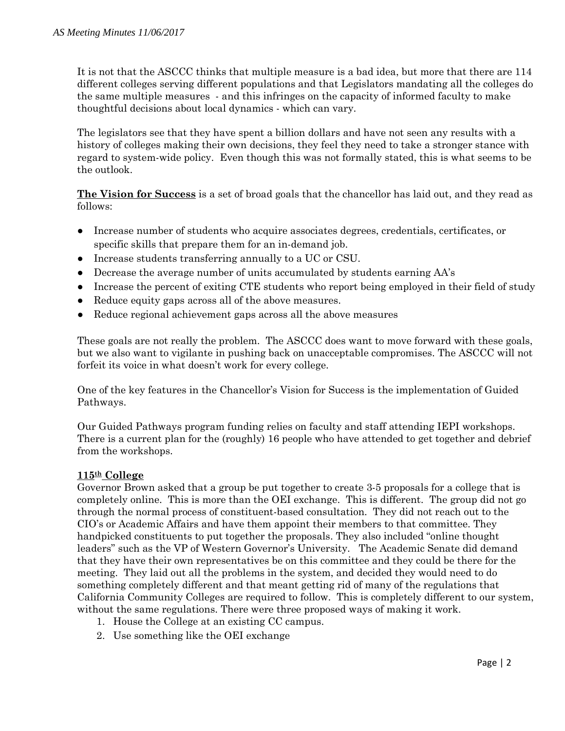It is not that the ASCCC thinks that multiple measure is a bad idea, but more that there are 114 different colleges serving different populations and that Legislators mandating all the colleges do the same multiple measures - and this infringes on the capacity of informed faculty to make thoughtful decisions about local dynamics - which can vary.

The legislators see that they have spent a billion dollars and have not seen any results with a history of colleges making their own decisions, they feel they need to take a stronger stance with regard to system-wide policy. Even though this was not formally stated, this is what seems to be the outlook.

**The Vision for Success** is a set of broad goals that the chancellor has laid out, and they read as follows:

- Increase number of students who acquire associates degrees, credentials, certificates, or specific skills that prepare them for an in-demand job.
- Increase students transferring annually to a UC or CSU.
- Decrease the average number of units accumulated by students earning AA's
- Increase the percent of exiting CTE students who report being employed in their field of study
- Reduce equity gaps across all of the above measures.
- Reduce regional achievement gaps across all the above measures

These goals are not really the problem. The ASCCC does want to move forward with these goals, but we also want to vigilante in pushing back on unacceptable compromises. The ASCCC will not forfeit its voice in what doesn't work for every college.

One of the key features in the Chancellor's Vision for Success is the implementation of Guided Pathways.

Our Guided Pathways program funding relies on faculty and staff attending IEPI workshops. There is a current plan for the (roughly) 16 people who have attended to get together and debrief from the workshops.

#### **115th College**

Governor Brown asked that a group be put together to create 3-5 proposals for a college that is completely online. This is more than the OEI exchange. This is different. The group did not go through the normal process of constituent-based consultation. They did not reach out to the CIO's or Academic Affairs and have them appoint their members to that committee. They handpicked constituents to put together the proposals. They also included "online thought leaders" such as the VP of Western Governor's University. The Academic Senate did demand that they have their own representatives be on this committee and they could be there for the meeting. They laid out all the problems in the system, and decided they would need to do something completely different and that meant getting rid of many of the regulations that California Community Colleges are required to follow. This is completely different to our system, without the same regulations. There were three proposed ways of making it work.

- 1. House the College at an existing CC campus.
- 2. Use something like the OEI exchange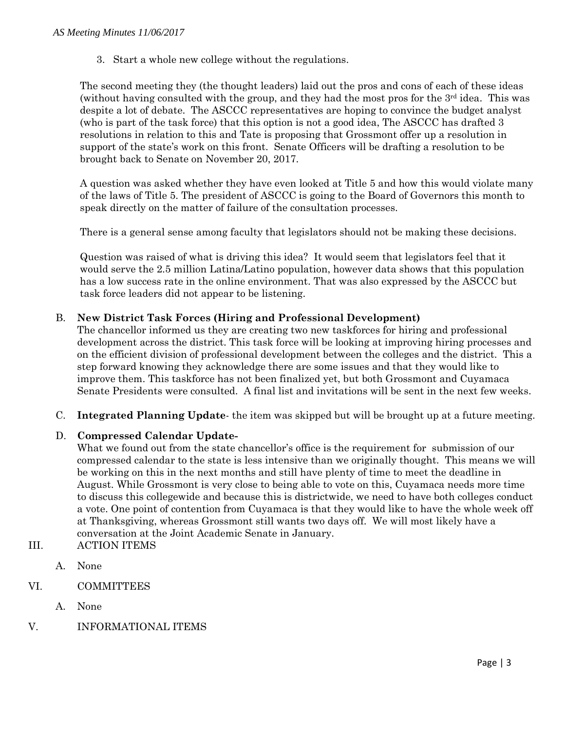3. Start a whole new college without the regulations.

The second meeting they (the thought leaders) laid out the pros and cons of each of these ideas (without having consulted with the group, and they had the most pros for the  $3<sup>rd</sup>$  idea. This was despite a lot of debate. The ASCCC representatives are hoping to convince the budget analyst (who is part of the task force) that this option is not a good idea, The ASCCC has drafted 3 resolutions in relation to this and Tate is proposing that Grossmont offer up a resolution in support of the state's work on this front. Senate Officers will be drafting a resolution to be brought back to Senate on November 20, 2017.

A question was asked whether they have even looked at Title 5 and how this would violate many of the laws of Title 5. The president of ASCCC is going to the Board of Governors this month to speak directly on the matter of failure of the consultation processes.

There is a general sense among faculty that legislators should not be making these decisions.

Question was raised of what is driving this idea? It would seem that legislators feel that it would serve the 2.5 million Latina/Latino population, however data shows that this population has a low success rate in the online environment. That was also expressed by the ASCCC but task force leaders did not appear to be listening.

#### B. **New District Task Forces (Hiring and Professional Development)**

The chancellor informed us they are creating two new taskforces for hiring and professional development across the district. This task force will be looking at improving hiring processes and on the efficient division of professional development between the colleges and the district. This a step forward knowing they acknowledge there are some issues and that they would like to improve them. This taskforce has not been finalized yet, but both Grossmont and Cuyamaca Senate Presidents were consulted. A final list and invitations will be sent in the next few weeks.

C. **Integrated Planning Update**- the item was skipped but will be brought up at a future meeting.

## D. **Compressed Calendar Update-**

What we found out from the state chancellor's office is the requirement for submission of our compressed calendar to the state is less intensive than we originally thought. This means we will be working on this in the next months and still have plenty of time to meet the deadline in August. While Grossmont is very close to being able to vote on this, Cuyamaca needs more time to discuss this collegewide and because this is districtwide, we need to have both colleges conduct a vote. One point of contention from Cuyamaca is that they would like to have the whole week off at Thanksgiving, whereas Grossmont still wants two days off. We will most likely have a conversation at the Joint Academic Senate in January.

- III. ACTION ITEMS
	- A. None
- VI. COMMITTEES
	- A. None
- V. INFORMATIONAL ITEMS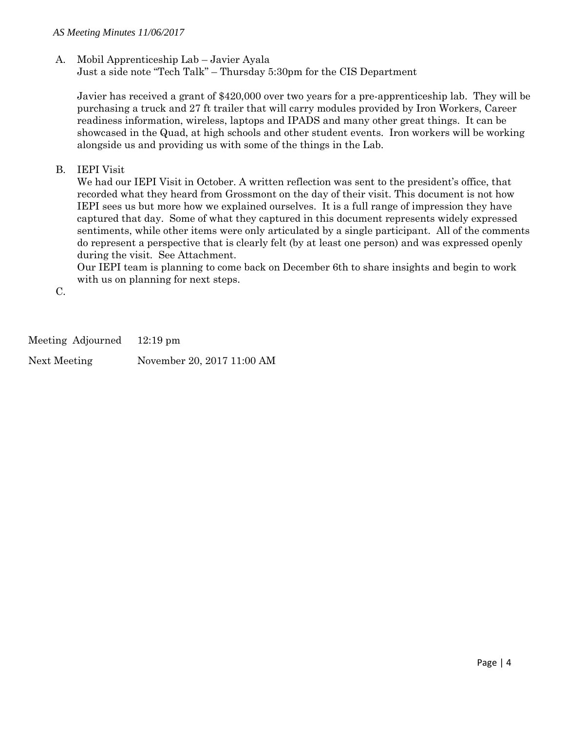## A. Mobil Apprenticeship Lab – Javier Ayala

Just a side note "Tech Talk" – Thursday 5:30pm for the CIS Department

Javier has received a grant of \$420,000 over two years for a pre-apprenticeship lab. They will be purchasing a truck and 27 ft trailer that will carry modules provided by Iron Workers, Career readiness information, wireless, laptops and IPADS and many other great things. It can be showcased in the Quad, at high schools and other student events. Iron workers will be working alongside us and providing us with some of the things in the Lab.

B. IEPI Visit

We had our IEPI Visit in October. A written reflection was sent to the president's office, that recorded what they heard from Grossmont on the day of their visit. This document is not how IEPI sees us but more how we explained ourselves. It is a full range of impression they have captured that day. Some of what they captured in this document represents widely expressed sentiments, while other items were only articulated by a single participant. All of the comments do represent a perspective that is clearly felt (by at least one person) and was expressed openly during the visit. See Attachment.

Our IEPI team is planning to come back on December 6th to share insights and begin to work with us on planning for next steps.

C.

Meeting Adjourned 12:19 pm Next Meeting November 20, 2017 11:00 AM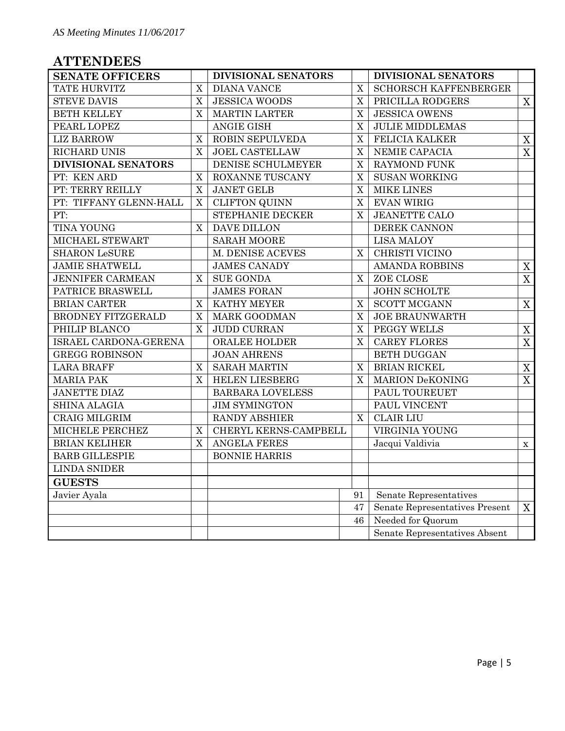# **ATTENDEES**

| <b>SENATE OFFICERS</b>                        |             | DIVISIONAL SENATORS     |                | DIVISIONAL SENATORS            |                |
|-----------------------------------------------|-------------|-------------------------|----------------|--------------------------------|----------------|
| TATE HURVITZ                                  | X           | DIANA VANCE             | $\mathbf X$    | SCHORSCH KAFFENBERGER          |                |
| <b>STEVE DAVIS</b>                            |             | <b>JESSICA WOODS</b>    |                | PRICILLA RODGERS               |                |
| <b>BETH KELLEY</b>                            |             | <b>MARTIN LARTER</b>    | $\mathbf X$    | <b>JESSICA OWENS</b>           |                |
| PEARL LOPEZ                                   |             | <b>ANGIE GISH</b>       | $\overline{X}$ | <b>JULIE MIDDLEMAS</b>         |                |
| <b>LIZ BARROW</b>                             |             | ROBIN SEPULVEDA         | $\overline{X}$ | FELICIA KALKER                 | $\mathbf X$    |
| RICHARD UNIS                                  |             | <b>JOEL CASTELLAW</b>   | $\overline{X}$ | NEMIE CAPACIA                  | $\overline{X}$ |
| DIVISIONAL SENATORS                           |             | DENISE SCHULMEYER       | $\mathbf X$    | RAYMOND FUNK                   |                |
| PT: KEN ARD                                   |             | ROXANNE TUSCANY         | $\overline{X}$ | <b>SUSAN WORKING</b>           |                |
| PT: TERRY REILLY                              | X           | <b>JANET GELB</b>       |                | <b>MIKE LINES</b>              |                |
| PT: TIFFANY GLENN-HALL                        |             | <b>CLIFTON QUINN</b>    | $\mathbf X$    | <b>EVAN WIRIG</b>              |                |
| PT:                                           |             | <b>STEPHANIE DECKER</b> | $\overline{X}$ | <b>JEANETTE CALO</b>           |                |
| <b>TINA YOUNG</b>                             |             | DAVE DILLON             |                | DEREK CANNON                   |                |
| MICHAEL STEWART                               |             | <b>SARAH MOORE</b>      |                | <b>LISA MALOY</b>              |                |
| <b>SHARON LeSURE</b>                          |             | M. DENISE ACEVES        |                | CHRISTI VICINO                 |                |
| <b>JAMIE SHATWELL</b>                         |             | <b>JAMES CANADY</b>     |                | <b>AMANDA ROBBINS</b>          | X              |
| <b>JENNIFER CARMEAN</b>                       |             | <b>SUE GONDA</b>        | X              | ZOE CLOSE                      | X              |
| PATRICE BRASWELL                              |             | <b>JAMES FORAN</b>      |                | <b>JOHN SCHOLTE</b>            |                |
| BRIAN CARTER                                  |             | KATHY MEYER             |                | <b>SCOTT MCGANN</b>            | X              |
| BRODNEY FITZGERALD                            | $\mathbf X$ | <b>MARK GOODMAN</b>     | $\mathbf X$    | <b>JOE BRAUNWARTH</b>          |                |
| PHILIP BLANCO                                 | X           | <b>JUDD CURRAN</b>      | X              | PEGGY WELLS                    | $\mathbf X$    |
| ISRAEL CARDONA-GERENA                         |             | <b>ORALEE HOLDER</b>    |                | <b>CAREY FLORES</b>            | X              |
| <b>GREGG ROBINSON</b>                         |             | <b>JOAN AHRENS</b>      |                | <b>BETH DUGGAN</b>             |                |
| <b>LARA BRAFF</b>                             | X           | <b>SARAH MARTIN</b>     | X              | <b>BRIAN RICKEL</b>            | $\mathbf X$    |
| <b>MARIA PAK</b>                              | X           | <b>HELEN LIESBERG</b>   | $\overline{X}$ | <b>MARION DeKONING</b>         | X              |
| <b>JANETTE DIAZ</b>                           |             | BARBARA LOVELESS        |                | PAUL TOUREUET                  |                |
| <b>SHINA ALAGIA</b>                           |             | <b>JIM SYMINGTON</b>    |                | PAUL VINCENT                   |                |
| CRAIG MILGRIM                                 |             | RANDY ABSHIER           |                | <b>CLAIR LIU</b>               |                |
| MICHELE PERCHEZ                               |             | CHERYL KERNS-CAMPBELL   |                | VIRGINIA YOUNG                 |                |
| <b>BRIAN KELIHER</b>                          |             | <b>ANGELA FERES</b>     |                | Jacqui Valdivia                | $\mathbf X$    |
| <b>BARB GILLESPIE</b><br><b>BONNIE HARRIS</b> |             |                         |                |                                |                |
| <b>LINDA SNIDER</b>                           |             |                         |                |                                |                |
| <b>GUESTS</b>                                 |             |                         |                |                                |                |
| Javier Ayala                                  |             |                         | 91             | Senate Representatives         |                |
|                                               |             |                         | 47             | Senate Representatives Present | X              |
|                                               |             |                         | 46             | Needed for Quorum              |                |
|                                               |             |                         |                | Senate Representatives Absent  |                |